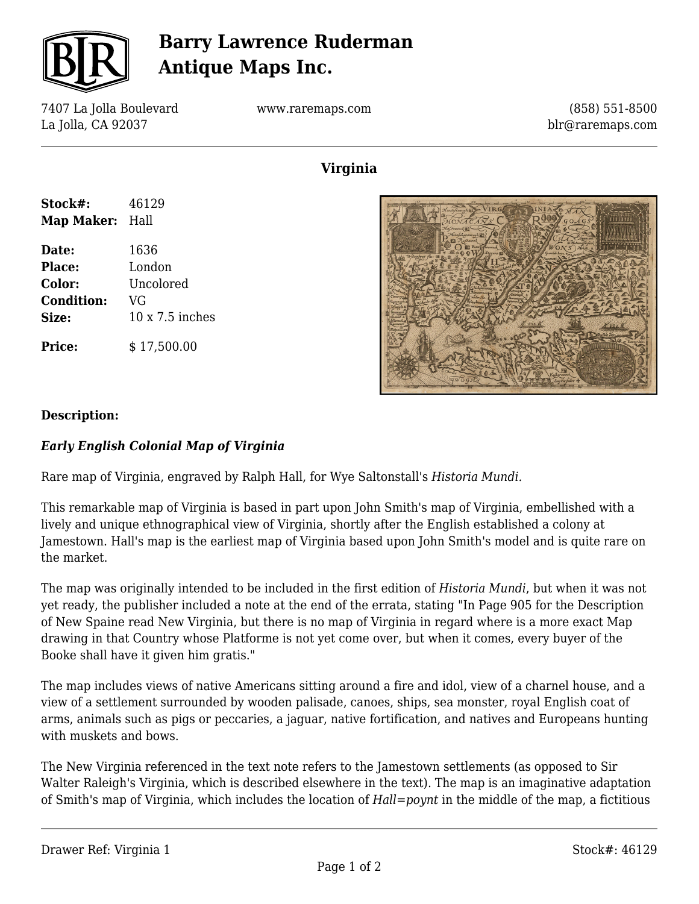

# **Barry Lawrence Ruderman Antique Maps Inc.**

7407 La Jolla Boulevard La Jolla, CA 92037

www.raremaps.com

(858) 551-8500 blr@raremaps.com

## **Virginia**

| Stock#:           | 46129                  |
|-------------------|------------------------|
| Map Maker: Hall   |                        |
| Date:             | 1636                   |
| Place:            | London                 |
| Color:            | Uncolored              |
| <b>Condition:</b> | VG                     |
| Size:             | $10 \times 7.5$ inches |
| <b>Price:</b>     | \$17,500.00            |



### **Description:**

### *Early English Colonial Map of Virginia*

Rare map of Virginia, engraved by Ralph Hall, for Wye Saltonstall's *Historia Mundi.*

This remarkable map of Virginia is based in part upon John Smith's map of Virginia, embellished with a lively and unique ethnographical view of Virginia, shortly after the English established a colony at Jamestown. Hall's map is the earliest map of Virginia based upon John Smith's model and is quite rare on the market.

The map was originally intended to be included in the first edition of *Historia Mundi*, but when it was not yet ready, the publisher included a note at the end of the errata, stating "In Page 905 for the Description of New Spaine read New Virginia, but there is no map of Virginia in regard where is a more exact Map drawing in that Country whose Platforme is not yet come over, but when it comes, every buyer of the Booke shall have it given him gratis."

The map includes views of native Americans sitting around a fire and idol, view of a charnel house, and a view of a settlement surrounded by wooden palisade, canoes, ships, sea monster, royal English coat of arms, animals such as pigs or peccaries, a jaguar, native fortification, and natives and Europeans hunting with muskets and bows.

The New Virginia referenced in the text note refers to the Jamestown settlements (as opposed to Sir Walter Raleigh's Virginia, which is described elsewhere in the text). The map is an imaginative adaptation of Smith's map of Virginia, which includes the location of *Hall=poynt* in the middle of the map, a fictitious